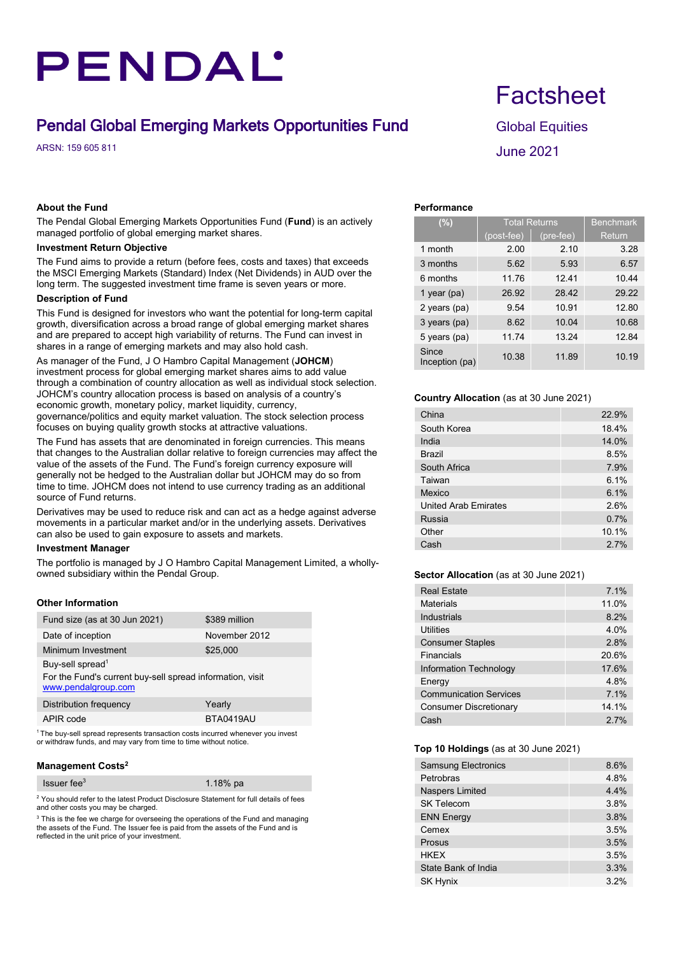# PENDAL'

## **Pendal Global Emerging Markets Opportunities Fund Global Equities**

 $\mu$  ARSN: 159 605 811 June 2021

### **About the Fund**

The Pendal Global Emerging Markets Opportunities Fund (**Fund**) is an actively managed portfolio of global emerging market shares.

### **Investment Return Objective**

The Fund aims to provide a return (before fees, costs and taxes) that exceeds the MSCI Emerging Markets (Standard) Index (Net Dividends) in AUD over the long term. The suggested investment time frame is seven years or more.

### **Description of Fund**

This Fund is designed for investors who want the potential for long-term capital growth, diversification across a broad range of global emerging market shares and are prepared to accept high variability of returns. The Fund can invest in shares in a range of emerging markets and may also hold cash.

As manager of the Fund, J O Hambro Capital Management (**JOHCM**) investment process for global emerging market shares aims to add value through a combination of country allocation as well as individual stock selection. JOHCM's country allocation process is based on analysis of a country's economic growth, monetary policy, market liquidity, currency, governance/politics and equity market valuation. The stock selection process focuses on buying quality growth stocks at attractive valuations.

The Fund has assets that are denominated in foreign currencies. This means that changes to the Australian dollar relative to foreign currencies may affect the value of the assets of the Fund. The Fund's foreign currency exposure will generally not be hedged to the Australian dollar but JOHCM may do so from time to time. JOHCM does not intend to use currency trading as an additional source of Fund returns.

Derivatives may be used to reduce risk and can act as a hedge against adverse movements in a particular market and/or in the underlying assets. Derivatives can also be used to gain exposure to assets and markets.

### **Investment Manager**

The portfolio is managed by J O Hambro Capital Management Limited, a whollyowned subsidiary within the Pendal Group.

### **Other Information**

| Fund size (as at 30 Jun 2021)                                                    | \$389 million |  |  |  |  |
|----------------------------------------------------------------------------------|---------------|--|--|--|--|
| Date of inception                                                                | November 2012 |  |  |  |  |
| Minimum Investment                                                               | \$25,000      |  |  |  |  |
| Buy-sell spread <sup>1</sup>                                                     |               |  |  |  |  |
| For the Fund's current buy-sell spread information, visit<br>www.pendalgroup.com |               |  |  |  |  |
|                                                                                  |               |  |  |  |  |
| Distribution frequency                                                           | Yearly        |  |  |  |  |
| APIR code                                                                        | BTA0419AU     |  |  |  |  |

1 The buy-sell spread represents transaction costs incurred whenever you invest or withdraw funds, and may vary from time to time without notice.

### **Management Costs2**

|               | $l$ ssuer fee $3$ |  |  |  |  | 1.18% $pa$ |   |  |
|---------------|-------------------|--|--|--|--|------------|---|--|
| $\sim$ $\sim$ |                   |  |  |  |  |            | . |  |

<sup>2</sup> You should refer to the latest Product Disclosure Statement for full details of fees and other costs you may be charged.

 $3$  This is the fee we charge for overseeing the operations of the Fund and managing the assets of the Fund. The Issuer fee is paid from the assets of the Fund and is reflected in the unit price of your investment.

# **Factsheet**

### **Performance**

| (%)                     | <b>Total Returns</b> | <b>Benchmark</b> |               |  |  |
|-------------------------|----------------------|------------------|---------------|--|--|
|                         | (post-fee)           | $(pre-free)$     | <b>Return</b> |  |  |
| 1 month                 | 2.00                 | 2.10             | 3.28          |  |  |
| 3 months                | 5.62                 | 5.93             | 6.57          |  |  |
| 6 months                | 11.76                | 1241             | 10.44         |  |  |
| 1 year ( $pa$ )         | 26.92                | 28.42            | 29.22         |  |  |
| 2 years (pa)            | 9.54                 | 10.91            | 12.80         |  |  |
| 3 years (pa)            | 8.62                 | 10.04            | 10.68         |  |  |
| 5 years (pa)            | 11.74                | 13.24            | 12.84         |  |  |
| Since<br>Inception (pa) | 10.38                | 11.89            | 10.19         |  |  |

### **Country Allocation** (as at 30 June 2021)

| China                       | 22.9% |
|-----------------------------|-------|
| South Korea                 | 18.4% |
| India                       | 14.0% |
| <b>Brazil</b>               | 8.5%  |
| South Africa                | 7.9%  |
| Taiwan                      | 6.1%  |
| Mexico                      | 6.1%  |
| <b>United Arab Emirates</b> | 2.6%  |
| Russia                      | 0.7%  |
| Other                       | 10.1% |
| Cash                        | 27%   |

### **Sector Allocation** (as at 30 June 2021)

| <b>Real Estate</b>            | 7.1%  |
|-------------------------------|-------|
| Materials                     | 11.0% |
| Industrials                   | 8.2%  |
| Utilities                     | 4.0%  |
| <b>Consumer Staples</b>       | 2.8%  |
| Financials                    | 20.6% |
| <b>Information Technology</b> | 17.6% |
| Energy                        | 4.8%  |
| <b>Communication Services</b> | 7.1%  |
| Consumer Discretionary        | 14 1% |
| Cash                          | 27%   |

### **Top 10 Holdings** (as at 30 June 2021)

| <b>Samsung Electronics</b> | 8.6% |
|----------------------------|------|
| Petrobras                  | 4.8% |
| <b>Naspers Limited</b>     | 4.4% |
| <b>SK Telecom</b>          | 3.8% |
| <b>ENN Energy</b>          | 3.8% |
| Cemex                      | 3.5% |
| Prosus                     | 3.5% |
| <b>HKEX</b>                | 3.5% |
| State Bank of India        | 3.3% |
| <b>SK Hynix</b>            | 3.2% |